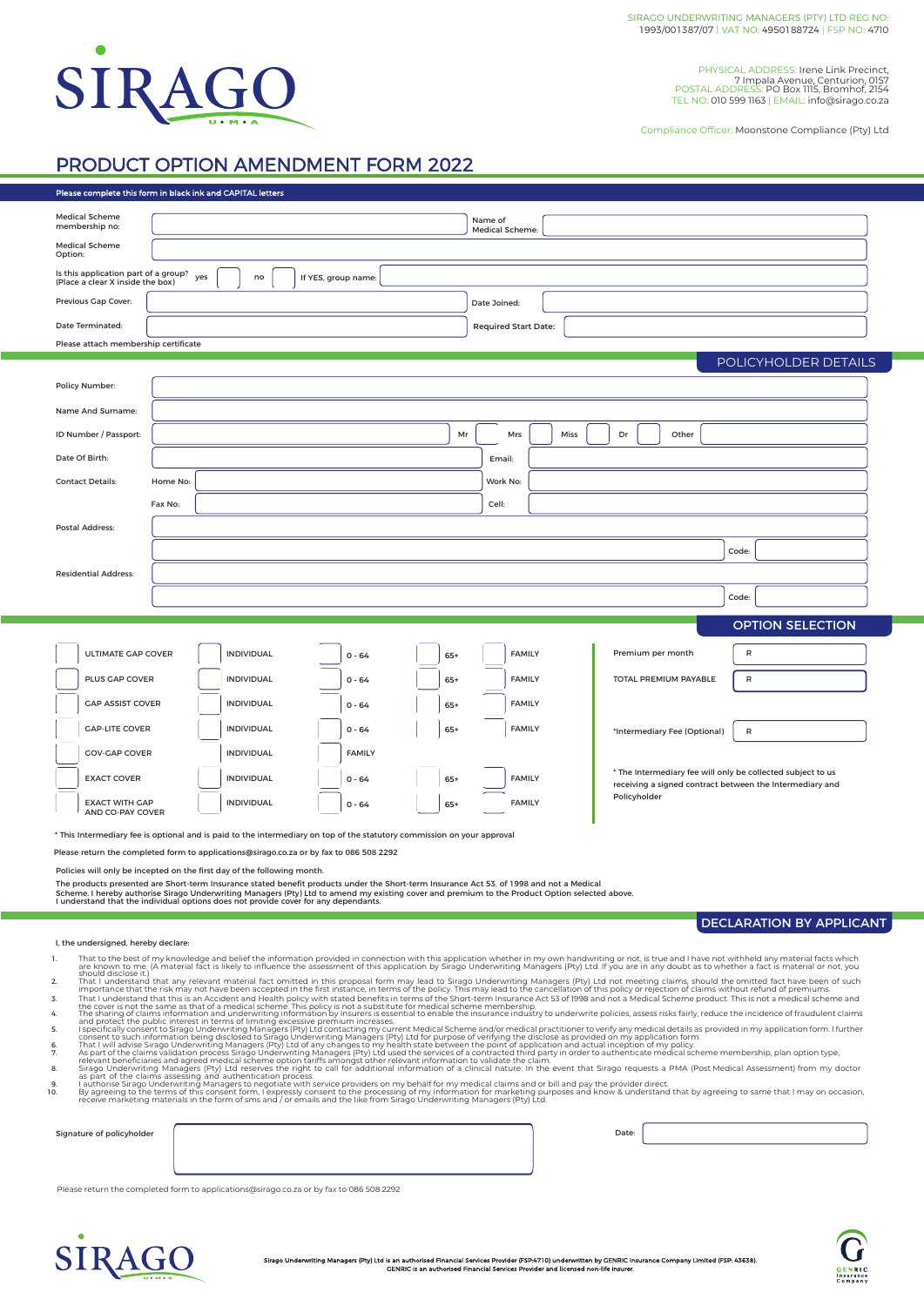

PHYSICAL ADDRESS: Irene Link Precinct, 7 Impala Avenue, Centurion, 0157 POSTAL ADDRESS: PO Box 1115, Bromhof, 2154 TEL NO: 010 599 1163 | EMAIL: info@sirago.co.za

Compliance Officer: Moonstone Compliance (Pty) Ltd

## PRODUCT OPTION AMENDMENT FORM 2022

| Please complete this form in black ink and CAPITAL letters                                                                                                                                                                                                                                                                                                                                                                         |                                  |                                    |                                                             |                   |                                                                                                                                                                                                                                                                                                                                                                                                                    |                |                             |                                |                        |                                                             |                                                                          |  |                       |  |       |                                 |  |  |  |
|------------------------------------------------------------------------------------------------------------------------------------------------------------------------------------------------------------------------------------------------------------------------------------------------------------------------------------------------------------------------------------------------------------------------------------|----------------------------------|------------------------------------|-------------------------------------------------------------|-------------------|--------------------------------------------------------------------------------------------------------------------------------------------------------------------------------------------------------------------------------------------------------------------------------------------------------------------------------------------------------------------------------------------------------------------|----------------|-----------------------------|--------------------------------|------------------------|-------------------------------------------------------------|--------------------------------------------------------------------------|--|-----------------------|--|-------|---------------------------------|--|--|--|
| <b>Medical Scheme</b><br>membership no:                                                                                                                                                                                                                                                                                                                                                                                            | Name of<br>Medical Scheme:       |                                    |                                                             |                   |                                                                                                                                                                                                                                                                                                                                                                                                                    |                |                             |                                |                        |                                                             |                                                                          |  |                       |  |       |                                 |  |  |  |
| <b>Medical Scheme</b><br>Option:                                                                                                                                                                                                                                                                                                                                                                                                   |                                  |                                    |                                                             |                   |                                                                                                                                                                                                                                                                                                                                                                                                                    |                |                             |                                |                        |                                                             |                                                                          |  |                       |  |       |                                 |  |  |  |
| Is this application part of a group?<br>yes<br>If YES, group name:<br>no<br>(Place a clear X inside the box)                                                                                                                                                                                                                                                                                                                       |                                  |                                    |                                                             |                   |                                                                                                                                                                                                                                                                                                                                                                                                                    |                |                             |                                |                        |                                                             |                                                                          |  |                       |  |       |                                 |  |  |  |
| Previous Gap Cover:                                                                                                                                                                                                                                                                                                                                                                                                                |                                  | Date Joined:                       |                                                             |                   |                                                                                                                                                                                                                                                                                                                                                                                                                    |                |                             |                                |                        |                                                             |                                                                          |  |                       |  |       |                                 |  |  |  |
| Date Terminated:                                                                                                                                                                                                                                                                                                                                                                                                                   |                                  |                                    |                                                             |                   |                                                                                                                                                                                                                                                                                                                                                                                                                    |                | <b>Required Start Date:</b> |                                |                        |                                                             |                                                                          |  |                       |  |       |                                 |  |  |  |
| Please attach membership certificate                                                                                                                                                                                                                                                                                                                                                                                               |                                  |                                    |                                                             |                   |                                                                                                                                                                                                                                                                                                                                                                                                                    |                |                             |                                |                        |                                                             |                                                                          |  |                       |  |       |                                 |  |  |  |
| Policy Number:                                                                                                                                                                                                                                                                                                                                                                                                                     | POLICYHOLDER DETAILS             |                                    |                                                             |                   |                                                                                                                                                                                                                                                                                                                                                                                                                    |                |                             |                                |                        |                                                             |                                                                          |  |                       |  |       |                                 |  |  |  |
| Name And Surname:                                                                                                                                                                                                                                                                                                                                                                                                                  |                                  |                                    |                                                             |                   |                                                                                                                                                                                                                                                                                                                                                                                                                    |                |                             |                                |                        |                                                             |                                                                          |  |                       |  |       |                                 |  |  |  |
| ID Number / Passport:                                                                                                                                                                                                                                                                                                                                                                                                              | Mr<br>Mrs<br>Miss<br>Dr<br>Other |                                    |                                                             |                   |                                                                                                                                                                                                                                                                                                                                                                                                                    |                |                             |                                |                        |                                                             |                                                                          |  |                       |  |       |                                 |  |  |  |
| Date Of Birth:                                                                                                                                                                                                                                                                                                                                                                                                                     |                                  |                                    |                                                             |                   |                                                                                                                                                                                                                                                                                                                                                                                                                    |                |                             |                                |                        |                                                             |                                                                          |  |                       |  |       |                                 |  |  |  |
| <b>Contact Details:</b>                                                                                                                                                                                                                                                                                                                                                                                                            |                                  | Email:<br>Home No:<br>Work No:     |                                                             |                   |                                                                                                                                                                                                                                                                                                                                                                                                                    |                |                             |                                |                        |                                                             |                                                                          |  |                       |  |       |                                 |  |  |  |
|                                                                                                                                                                                                                                                                                                                                                                                                                                    | Fax No:<br>Cell:                 |                                    |                                                             |                   |                                                                                                                                                                                                                                                                                                                                                                                                                    |                |                             |                                |                        |                                                             |                                                                          |  |                       |  |       |                                 |  |  |  |
|                                                                                                                                                                                                                                                                                                                                                                                                                                    |                                  |                                    |                                                             |                   |                                                                                                                                                                                                                                                                                                                                                                                                                    |                |                             |                                |                        |                                                             |                                                                          |  |                       |  |       |                                 |  |  |  |
| Postal Address:                                                                                                                                                                                                                                                                                                                                                                                                                    |                                  |                                    |                                                             |                   |                                                                                                                                                                                                                                                                                                                                                                                                                    |                |                             |                                |                        |                                                             |                                                                          |  |                       |  |       |                                 |  |  |  |
|                                                                                                                                                                                                                                                                                                                                                                                                                                    |                                  |                                    |                                                             |                   |                                                                                                                                                                                                                                                                                                                                                                                                                    |                |                             |                                |                        |                                                             |                                                                          |  |                       |  | Code: |                                 |  |  |  |
| <b>Residential Address:</b>                                                                                                                                                                                                                                                                                                                                                                                                        |                                  |                                    |                                                             |                   |                                                                                                                                                                                                                                                                                                                                                                                                                    |                |                             |                                |                        |                                                             |                                                                          |  |                       |  |       |                                 |  |  |  |
|                                                                                                                                                                                                                                                                                                                                                                                                                                    |                                  |                                    |                                                             |                   |                                                                                                                                                                                                                                                                                                                                                                                                                    |                |                             |                                |                        |                                                             |                                                                          |  |                       |  | Code: |                                 |  |  |  |
| <b>OPTION SELECTION</b>                                                                                                                                                                                                                                                                                                                                                                                                            |                                  |                                    |                                                             |                   |                                                                                                                                                                                                                                                                                                                                                                                                                    |                |                             |                                |                        |                                                             |                                                                          |  |                       |  |       |                                 |  |  |  |
| ULTIMATE GAP COVER<br><b>INDIVIDUAL</b><br><b>FAMILY</b><br>$0 - 64$<br>$65+$                                                                                                                                                                                                                                                                                                                                                      |                                  |                                    |                                                             |                   |                                                                                                                                                                                                                                                                                                                                                                                                                    |                |                             |                                | R<br>Premium per month |                                                             |                                                                          |  |                       |  |       |                                 |  |  |  |
|                                                                                                                                                                                                                                                                                                                                                                                                                                    |                                  |                                    |                                                             |                   |                                                                                                                                                                                                                                                                                                                                                                                                                    |                |                             |                                |                        |                                                             |                                                                          |  |                       |  | R     |                                 |  |  |  |
| PLUS GAP COVER<br><b>GAP ASSIST COVER</b>                                                                                                                                                                                                                                                                                                                                                                                          |                                  |                                    | INDIVIDUAL<br><b>INDIVIDUAL</b>                             |                   | $0 - 64$<br>$0 - 64$                                                                                                                                                                                                                                                                                                                                                                                               | $65+$<br>$65+$ |                             | <b>FAMILY</b><br><b>FAMILY</b> |                        |                                                             |                                                                          |  | TOTAL PREMIUM PAYABLE |  |       |                                 |  |  |  |
| <b>GAP-LITE COVER</b>                                                                                                                                                                                                                                                                                                                                                                                                              |                                  | <b>INDIVIDUAL</b><br>$0 - 64$      |                                                             |                   |                                                                                                                                                                                                                                                                                                                                                                                                                    | $65+$          | <b>FAMILY</b>               |                                |                        |                                                             | *Intermediary Fee (Optional)<br>R                                        |  |                       |  |       |                                 |  |  |  |
| <b>GOV-GAP COVER</b>                                                                                                                                                                                                                                                                                                                                                                                                               |                                  | <b>INDIVIDUAL</b><br><b>FAMILY</b> |                                                             |                   |                                                                                                                                                                                                                                                                                                                                                                                                                    |                |                             |                                |                        |                                                             |                                                                          |  |                       |  |       |                                 |  |  |  |
| <b>EXACT COVER</b>                                                                                                                                                                                                                                                                                                                                                                                                                 |                                  | INDIVIDUAL                         |                                                             |                   | $0 - 64$                                                                                                                                                                                                                                                                                                                                                                                                           | <b>FAMILY</b>  |                             |                                |                        | * The Intermediary fee will only be collected subject to us |                                                                          |  |                       |  |       |                                 |  |  |  |
| <b>EXACT WITH GAP</b>                                                                                                                                                                                                                                                                                                                                                                                                              |                                  |                                    | <b>INDIVIDUAL</b>                                           | $0 - 64$<br>$65+$ |                                                                                                                                                                                                                                                                                                                                                                                                                    |                | <b>FAMILY</b>               |                                |                        |                                                             | receiving a signed contract between the Intermediary and<br>Policyholder |  |                       |  |       |                                 |  |  |  |
| AND CO-PAY COVER<br>* This Intermediary fee is optional and is paid to the intermediary on top of the statutory commission on your approval                                                                                                                                                                                                                                                                                        |                                  |                                    |                                                             |                   |                                                                                                                                                                                                                                                                                                                                                                                                                    |                |                             |                                |                        |                                                             |                                                                          |  |                       |  |       |                                 |  |  |  |
| Please return the completed form to applications@sirago.co.za or by fax to 086 508 2292                                                                                                                                                                                                                                                                                                                                            |                                  |                                    |                                                             |                   |                                                                                                                                                                                                                                                                                                                                                                                                                    |                |                             |                                |                        |                                                             |                                                                          |  |                       |  |       |                                 |  |  |  |
| Policies will only be incepted on the first day of the following month.                                                                                                                                                                                                                                                                                                                                                            |                                  |                                    |                                                             |                   |                                                                                                                                                                                                                                                                                                                                                                                                                    |                |                             |                                |                        |                                                             |                                                                          |  |                       |  |       |                                 |  |  |  |
| The products presented are Short-term Insurance stated benefit products under the Short-term Insurance Act 53, of 1998 and not a Medical<br>Scheme. I hereby authorise Sirago Underwriting Managers (Pty) Ltd to amend my existing cover and premium to the Product Option selected above.                                                                                                                                         |                                  |                                    |                                                             |                   |                                                                                                                                                                                                                                                                                                                                                                                                                    |                |                             |                                |                        |                                                             |                                                                          |  |                       |  |       |                                 |  |  |  |
| I understand that the individual options does not provide cover for any dependants.                                                                                                                                                                                                                                                                                                                                                |                                  |                                    |                                                             |                   |                                                                                                                                                                                                                                                                                                                                                                                                                    |                |                             |                                |                        |                                                             |                                                                          |  |                       |  |       |                                 |  |  |  |
| I, the undersigned, hereby declare:                                                                                                                                                                                                                                                                                                                                                                                                |                                  |                                    |                                                             |                   |                                                                                                                                                                                                                                                                                                                                                                                                                    |                |                             |                                |                        |                                                             |                                                                          |  |                       |  |       | <b>DECLARATION BY APPLICANT</b> |  |  |  |
| 1.                                                                                                                                                                                                                                                                                                                                                                                                                                 |                                  |                                    |                                                             |                   | That to the best of my knowledge and belief the information provided in connection with this application whether in my own handwriting or not, is true and I have not withheld any material facts which                                                                                                                                                                                                            |                |                             |                                |                        |                                                             |                                                                          |  |                       |  |       |                                 |  |  |  |
| should disclose it.)<br>2.                                                                                                                                                                                                                                                                                                                                                                                                         |                                  |                                    |                                                             |                   | are known to me. (A material fact is likely to influence the assessment of this application by Sirago Underwriting Managers (Pty) Ltd. If you are in any doubt as to whether a fact is material or not, you<br>That I understand that any relevant material fact omitted in this proposal form may lead to Sirago Underwriting Managers (Pty) Ltd not meeting claims, should the omitted fact have been of such    |                |                             |                                |                        |                                                             |                                                                          |  |                       |  |       |                                 |  |  |  |
| 3.                                                                                                                                                                                                                                                                                                                                                                                                                                 |                                  |                                    |                                                             |                   | importance that the risk may not have been accepted in the first instance, in terms of the policy. This may lead to the cancellation of this policy or rejection of claims without refund of premiums.<br>That I understand that this is an Accident and Health policy with stated benefits in terms of the Short-term Insurance Act 53 of 1998 and not a Medical Scheme product. This is not a medical scheme and |                |                             |                                |                        |                                                             |                                                                          |  |                       |  |       |                                 |  |  |  |
| the cover is not the same as that of a medical scheme. This policy is not a substitute for medical scheme membership.<br>The sharing of claims information and underwriting information by Insurers is essential to enable the insurance industry to underwrite policies, assess risks fairly, reduce the incidence of fraudulent claims<br>4<br>and protect the public interest in terms of limiting excessive premium increases. |                                  |                                    |                                                             |                   |                                                                                                                                                                                                                                                                                                                                                                                                                    |                |                             |                                |                        |                                                             |                                                                          |  |                       |  |       |                                 |  |  |  |
| 5.<br>6.                                                                                                                                                                                                                                                                                                                                                                                                                           |                                  |                                    |                                                             |                   | rispecifically consent to Sirago Underwriting Managers (Pty) Ltd contacting my current Medical Scheme and/or medical practitioner to verify any medical details as provided in my application form. I further consent to Sirag                                                                                                                                                                                     |                |                             |                                |                        |                                                             |                                                                          |  |                       |  |       |                                 |  |  |  |
| 7.                                                                                                                                                                                                                                                                                                                                                                                                                                 |                                  |                                    |                                                             |                   | As part of the claims validation process Sirago Underwriting Managers (Pty) Ltd used the services of a contracted third party in order to authenticate medical scheme membership, plan option type,<br>relevant beneficiaries and agreed medical scheme option tariffs amongst other relevant information to validate the claim.                                                                                   |                |                             |                                |                        |                                                             |                                                                          |  |                       |  |       |                                 |  |  |  |
| 8.<br>9.                                                                                                                                                                                                                                                                                                                                                                                                                           |                                  |                                    | as part of the claims assessing and authentication process. |                   | Sirago Underwriting Managers (Pty) Ltd reserves the right to call for additional information of a clinical nature. In the event that Sirago requests a PMA (Post Medical Assessment) from my doctor<br>I authorise Sirago Underwriting Managers to negotiate with service providers on my behalf for my medical claims and or bill and pay the provider direct.                                                    |                |                             |                                |                        |                                                             |                                                                          |  |                       |  |       |                                 |  |  |  |
| 10.                                                                                                                                                                                                                                                                                                                                                                                                                                |                                  |                                    |                                                             |                   | By agreeing to the terms of this consent form, I expressly consent to the processing of my information for marketing purposes and know & understand that by agreeing to same that I may on occasion,<br>receive marketing materials in the form of sms and / or emails and the like from Sirago Underwriting Managers (Pty) Ltd.                                                                                   |                |                             |                                |                        |                                                             |                                                                          |  |                       |  |       |                                 |  |  |  |
| Signature of policyholder                                                                                                                                                                                                                                                                                                                                                                                                          |                                  |                                    |                                                             |                   |                                                                                                                                                                                                                                                                                                                                                                                                                    |                |                             |                                | Date:                  |                                                             |                                                                          |  |                       |  |       |                                 |  |  |  |
|                                                                                                                                                                                                                                                                                                                                                                                                                                    |                                  |                                    |                                                             |                   |                                                                                                                                                                                                                                                                                                                                                                                                                    |                |                             |                                |                        |                                                             |                                                                          |  |                       |  |       |                                 |  |  |  |
|                                                                                                                                                                                                                                                                                                                                                                                                                                    |                                  |                                    |                                                             |                   |                                                                                                                                                                                                                                                                                                                                                                                                                    |                |                             |                                |                        |                                                             |                                                                          |  |                       |  |       |                                 |  |  |  |
| Please return the completed form to applications@sirago.co.za or by fax to 086 508 2292                                                                                                                                                                                                                                                                                                                                            |                                  |                                    |                                                             |                   |                                                                                                                                                                                                                                                                                                                                                                                                                    |                |                             |                                |                        |                                                             |                                                                          |  |                       |  |       |                                 |  |  |  |